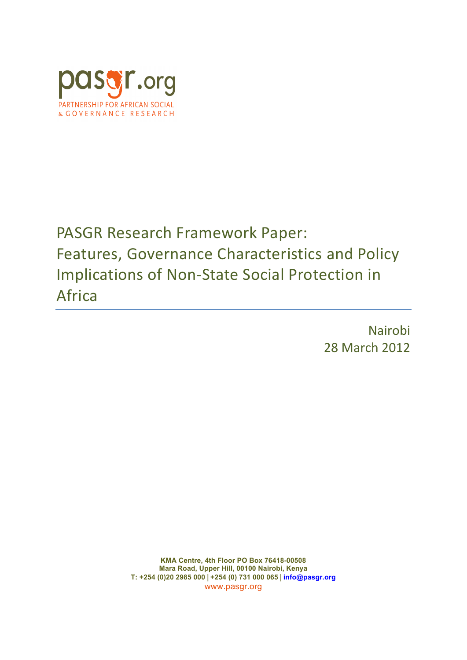

# PASGR Research Framework Paper: Features, Governance Characteristics and Policy Implications of Non-State Social Protection in Africa

Nairobi 28 March 2012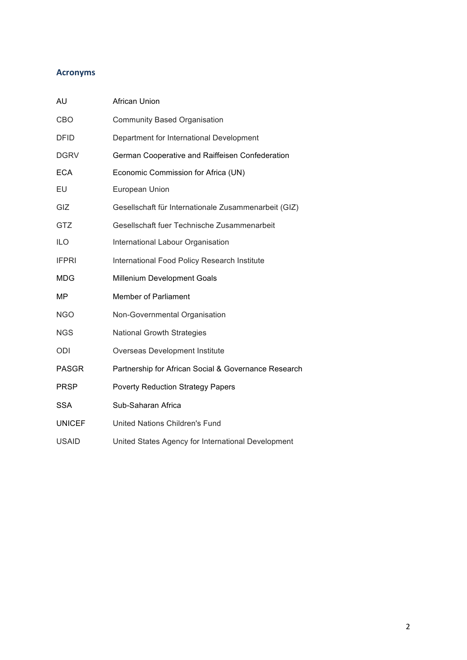# **Acronyms**

| AU            | <b>African Union</b>                                 |  |
|---------------|------------------------------------------------------|--|
| CBO           | <b>Community Based Organisation</b>                  |  |
| <b>DFID</b>   | Department for International Development             |  |
| <b>DGRV</b>   | German Cooperative and Raiffeisen Confederation      |  |
| <b>ECA</b>    | Economic Commission for Africa (UN)                  |  |
| EU            | European Union                                       |  |
| GIZ           | Gesellschaft für Internationale Zusammenarbeit (GIZ) |  |
| GTZ           | Gesellschaft fuer Technische Zusammenarbeit          |  |
| <b>ILO</b>    | International Labour Organisation                    |  |
| <b>IFPRI</b>  | International Food Policy Research Institute         |  |
| MDG           | Millenium Development Goals                          |  |
| MP            | <b>Member of Parliament</b>                          |  |
| <b>NGO</b>    | Non-Governmental Organisation                        |  |
| <b>NGS</b>    | <b>National Growth Strategies</b>                    |  |
| ODI           | Overseas Development Institute                       |  |
| <b>PASGR</b>  | Partnership for African Social & Governance Research |  |
| <b>PRSP</b>   | <b>Poverty Reduction Strategy Papers</b>             |  |
| <b>SSA</b>    | Sub-Saharan Africa                                   |  |
| <b>UNICEF</b> | United Nations Children's Fund                       |  |
| <b>USAID</b>  | United States Agency for International Development   |  |
|               |                                                      |  |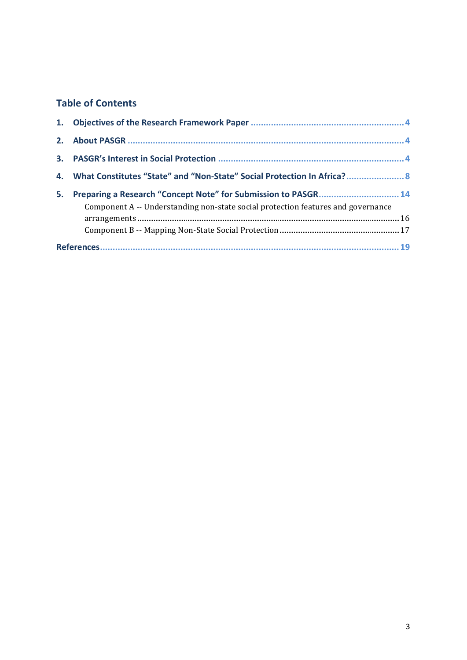# **Table of Contents**

| 1. |                                                                                                                                                    |  |
|----|----------------------------------------------------------------------------------------------------------------------------------------------------|--|
| 2. |                                                                                                                                                    |  |
| 3. |                                                                                                                                                    |  |
| 4. | What Constitutes "State" and "Non-State" Social Protection In Africa? 8                                                                            |  |
| 5. | Preparing a Research "Concept Note" for Submission to PASGR 14<br>Component A -- Understanding non-state social protection features and governance |  |
|    |                                                                                                                                                    |  |
|    |                                                                                                                                                    |  |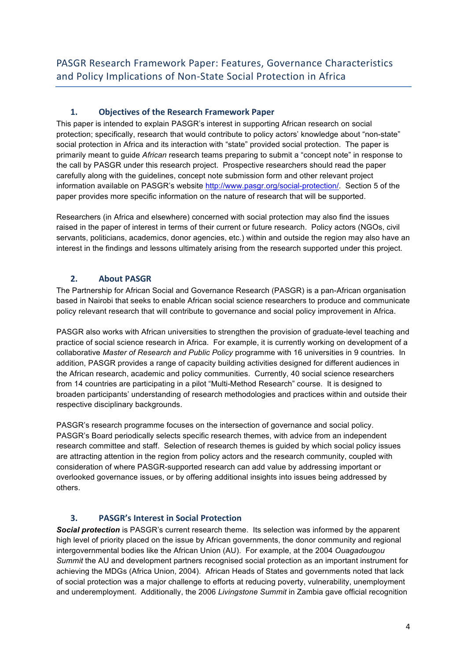# 1. **Objectives of the Research Framework Paper**

This paper is intended to explain PASGR's interest in supporting African research on social protection; specifically, research that would contribute to policy actors' knowledge about "non-state" social protection in Africa and its interaction with "state" provided social protection. The paper is primarily meant to guide *African* research teams preparing to submit a "concept note" in response to the call by PASGR under this research project. Prospective researchers should read the paper carefully along with the guidelines, concept note submission form and other relevant project information available on PASGR's website http://www.pasgr.org/social-protection/. Section 5 of the paper provides more specific information on the nature of research that will be supported.

Researchers (in Africa and elsewhere) concerned with social protection may also find the issues raised in the paper of interest in terms of their current or future research. Policy actors (NGOs, civil servants, politicians, academics, donor agencies, etc.) within and outside the region may also have an interest in the findings and lessons ultimately arising from the research supported under this project.

# **2. About PASGR**

The Partnership for African Social and Governance Research (PASGR) is a pan-African organisation based in Nairobi that seeks to enable African social science researchers to produce and communicate policy relevant research that will contribute to governance and social policy improvement in Africa.

PASGR also works with African universities to strengthen the provision of graduate-level teaching and practice of social science research in Africa. For example, it is currently working on development of a collaborative *Master of Research and Public Policy* programme with 16 universities in 9 countries. In addition, PASGR provides a range of capacity building activities designed for different audiences in the African research, academic and policy communities. Currently, 40 social science researchers from 14 countries are participating in a pilot "Multi-Method Research" course. It is designed to broaden participants' understanding of research methodologies and practices within and outside their respective disciplinary backgrounds.

PASGR's research programme focuses on the intersection of governance and social policy. PASGR's Board periodically selects specific research themes, with advice from an independent research committee and staff. Selection of research themes is guided by which social policy issues are attracting attention in the region from policy actors and the research community, coupled with consideration of where PASGR-supported research can add value by addressing important or overlooked governance issues, or by offering additional insights into issues being addressed by others.

# **3. PASGR's Interest in Social Protection**

*Social protection* is PASGR's current research theme. Its selection was informed by the apparent high level of priority placed on the issue by African governments, the donor community and regional intergovernmental bodies like the African Union (AU). For example, at the 2004 *Ouagadougou Summit* the AU and development partners recognised social protection as an important instrument for achieving the MDGs (Africa Union, 2004). African Heads of States and governments noted that lack of social protection was a major challenge to efforts at reducing poverty, vulnerability, unemployment and underemployment. Additionally, the 2006 *Livingstone Summit* in Zambia gave official recognition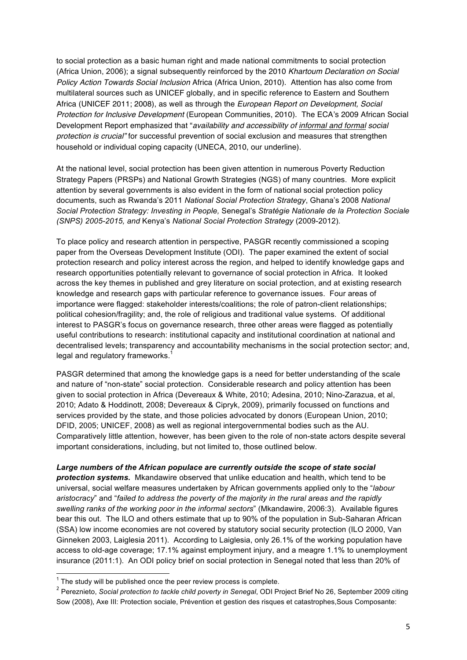to social protection as a basic human right and made national commitments to social protection (Africa Union, 2006); a signal subsequently reinforced by the 2010 *Khartoum Declaration on Social Policy Action Towards Social Inclusion* Africa (Africa Union, 2010). Attention has also come from multilateral sources such as UNICEF globally, and in specific reference to Eastern and Southern Africa (UNICEF 2011; 2008), as well as through the *European Report on Development, Social Protection for Inclusive Development* (European Communities, 2010). The ECA's 2009 African Social Development Report emphasized that "*availability and accessibility of informal and formal social protection is crucial"* for successful prevention of social exclusion and measures that strengthen household or individual coping capacity (UNECA, 2010, our underline).

At the national level, social protection has been given attention in numerous Poverty Reduction Strategy Papers (PRSPs) and National Growth Strategies (NGS) of many countries. More explicit attention by several governments is also evident in the form of national social protection policy documents, such as Rwanda's 2011 *National Social Protection Strategy*, Ghana's 2008 *National Social Protection Strategy: Investing in People,* Senegal's *Stratégie Nationale de la Protection Sociale (SNPS) 2005-2015, and* Kenya's *National Social Protection Strategy* (2009-2012)*.*

To place policy and research attention in perspective, PASGR recently commissioned a scoping paper from the Overseas Development Institute (ODI). The paper examined the extent of social protection research and policy interest across the region, and helped to identify knowledge gaps and research opportunities potentially relevant to governance of social protection in Africa. It looked across the key themes in published and grey literature on social protection, and at existing research knowledge and research gaps with particular reference to governance issues. Four areas of importance were flagged: stakeholder interests/coalitions; the role of patron-client relationships; political cohesion/fragility; and, the role of religious and traditional value systems. Of additional interest to PASGR's focus on governance research, three other areas were flagged as potentially useful contributions to research: institutional capacity and institutional coordination at national and decentralised levels; transparency and accountability mechanisms in the social protection sector; and, legal and regulatory frameworks.<sup>1</sup>

PASGR determined that among the knowledge gaps is a need for better understanding of the scale and nature of "non-state" social protection. Considerable research and policy attention has been given to social protection in Africa (Devereaux & White, 2010; Adesina, 2010; Nino-Zarazua, et al, 2010; Adato & Hoddinott, 2008; Devereaux & Cipryk, 2009), primarily focussed on functions and services provided by the state, and those policies advocated by donors (European Union, 2010; DFID, 2005; UNICEF, 2008) as well as regional intergovernmental bodies such as the AU. Comparatively little attention, however, has been given to the role of non-state actors despite several important considerations, including, but not limited to, those outlined below.

*Large numbers of the African populace are currently outside the scope of state social protection systems.* Mkandawire observed that unlike education and health, which tend to be universal, social welfare measures undertaken by African governments applied only to the "*labour aristocracy*" and "*failed to address the poverty of the majority in the rural areas and the rapidly swelling ranks of the working poor in the informal sectors*" (Mkandawire, 2006:3). Available figures bear this out. The ILO and others estimate that up to 90% of the population in Sub-Saharan African (SSA) low income economies are not covered by statutory social security protection (ILO 2000, Van Ginneken 2003, Laiglesia 2011). According to Laiglesia, only 26.1% of the working population have access to old-age coverage; 17.1% against employment injury, and a meagre 1.1% to unemployment insurance (2011:1). An ODI policy brief on social protection in Senegal noted that less than 20% of

 $1$  The study will be published once the peer review process is complete.

<sup>2</sup> Pereznieto, *Social protection to tackle child poverty in Senegal*, ODI Project Brief No 26, September 2009 citing Sow (2008), Axe III: Protection sociale, Prévention et gestion des risques et catastrophes,Sous Composante: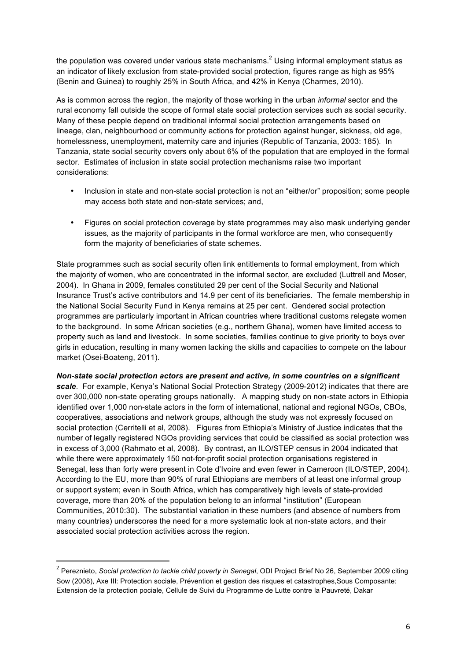the population was covered under various state mechanisms.<sup>2</sup> Using informal employment status as an indicator of likely exclusion from state-provided social protection, figures range as high as 95% (Benin and Guinea) to roughly 25% in South Africa, and 42% in Kenya (Charmes, 2010).

As is common across the region, the majority of those working in the urban *informal* sector and the rural economy fall outside the scope of formal state social protection services such as social security. Many of these people depend on traditional informal social protection arrangements based on lineage, clan, neighbourhood or community actions for protection against hunger, sickness, old age, homelessness, unemployment, maternity care and injuries (Republic of Tanzania, 2003: 185). In Tanzania, state social security covers only about 6% of the population that are employed in the formal sector. Estimates of inclusion in state social protection mechanisms raise two important considerations:

- Inclusion in state and non-state social protection is not an "either/or" proposition; some people may access both state and non-state services; and,
- Figures on social protection coverage by state programmes may also mask underlying gender issues, as the majority of participants in the formal workforce are men, who consequently form the majority of beneficiaries of state schemes.

State programmes such as social security often link entitlements to formal employment, from which the majority of women, who are concentrated in the informal sector, are excluded (Luttrell and Moser, 2004). In Ghana in 2009, females constituted 29 per cent of the Social Security and National Insurance Trust's active contributors and 14.9 per cent of its beneficiaries. The female membership in the National Social Security Fund in Kenya remains at 25 per cent. Gendered social protection programmes are particularly important in African countries where traditional customs relegate women to the background. In some African societies (e.g., northern Ghana), women have limited access to property such as land and livestock. In some societies, families continue to give priority to boys over girls in education, resulting in many women lacking the skills and capacities to compete on the labour market (Osei-Boateng, 2011).

*Non-state social protection actors are present and active, in some countries on a significant scale*. For example, Kenya's National Social Protection Strategy (2009-2012) indicates that there are over 300,000 non-state operating groups nationally. A mapping study on non-state actors in Ethiopia identified over 1,000 non-state actors in the form of international, national and regional NGOs, CBOs, cooperatives, associations and network groups, although the study was not expressly focused on social protection (Cerritelli et al, 2008). Figures from Ethiopia's Ministry of Justice indicates that the number of legally registered NGOs providing services that could be classified as social protection was in excess of 3,000 (Rahmato et al, 2008). By contrast, an ILO/STEP census in 2004 indicated that while there were approximately 150 not-for-profit social protection organisations registered in Senegal, less than forty were present in Cote d'Ivoire and even fewer in Cameroon (ILO/STEP, 2004). According to the EU, more than 90% of rural Ethiopians are members of at least one informal group or support system; even in South Africa, which has comparatively high levels of state-provided coverage, more than 20% of the population belong to an informal "institution" (European Communities, 2010:30). The substantial variation in these numbers (and absence of numbers from many countries) underscores the need for a more systematic look at non-state actors, and their associated social protection activities across the region.

<u> 1989 - Johann Stein, fransk politiker (d. 1989)</u>

<sup>2</sup> Pereznieto, *Social protection to tackle child poverty in Senegal*, ODI Project Brief No 26, September 2009 citing Sow (2008), Axe III: Protection sociale, Prévention et gestion des risques et catastrophes,Sous Composante: Extension de la protection pociale, Cellule de Suivi du Programme de Lutte contre la Pauvreté, Dakar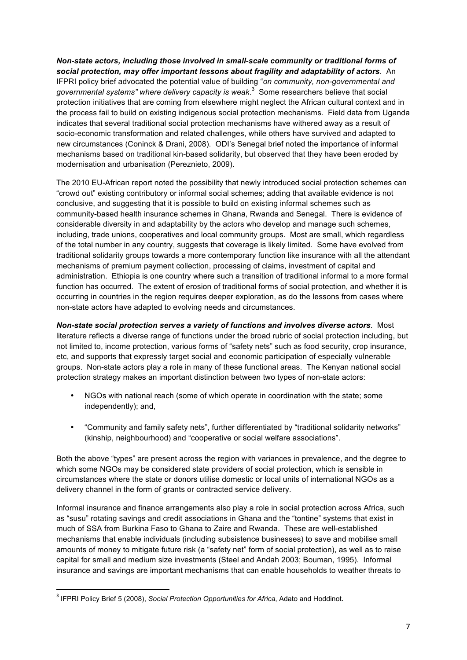*Non-state actors, including those involved in small-scale community or traditional forms of social protection, may offer important lessons about fragility and adaptability of actors*. An IFPRI policy brief advocated the potential value of building "*on community, non-governmental and governmental systems" where delivery capacity is weak*. 3 Some researchers believe that social protection initiatives that are coming from elsewhere might neglect the African cultural context and in the process fail to build on existing indigenous social protection mechanisms. Field data from Uganda indicates that several traditional social protection mechanisms have withered away as a result of socio-economic transformation and related challenges, while others have survived and adapted to new circumstances (Coninck & Drani, 2008). ODI's Senegal brief noted the importance of informal mechanisms based on traditional kin-based solidarity, but observed that they have been eroded by modernisation and urbanisation (Pereznieto, 2009).

The 2010 EU-African report noted the possibility that newly introduced social protection schemes can "crowd out" existing contributory or informal social schemes; adding that available evidence is not conclusive, and suggesting that it is possible to build on existing informal schemes such as community-based health insurance schemes in Ghana, Rwanda and Senegal. There is evidence of considerable diversity in and adaptability by the actors who develop and manage such schemes, including, trade unions, cooperatives and local community groups. Most are small, which regardless of the total number in any country, suggests that coverage is likely limited. Some have evolved from traditional solidarity groups towards a more contemporary function like insurance with all the attendant mechanisms of premium payment collection, processing of claims, investment of capital and administration. Ethiopia is one country where such a transition of traditional informal to a more formal function has occurred. The extent of erosion of traditional forms of social protection, and whether it is occurring in countries in the region requires deeper exploration, as do the lessons from cases where non-state actors have adapted to evolving needs and circumstances.

*Non-state social protection serves a variety of functions and involves diverse actors*. Most literature reflects a diverse range of functions under the broad rubric of social protection including, but not limited to, income protection, various forms of "safety nets" such as food security, crop insurance, etc, and supports that expressly target social and economic participation of especially vulnerable groups. Non-state actors play a role in many of these functional areas. The Kenyan national social protection strategy makes an important distinction between two types of non-state actors:

- NGOs with national reach (some of which operate in coordination with the state; some independently); and,
- "Community and family safety nets", further differentiated by "traditional solidarity networks" (kinship, neighbourhood) and "cooperative or social welfare associations".

Both the above "types" are present across the region with variances in prevalence, and the degree to which some NGOs may be considered state providers of social protection, which is sensible in circumstances where the state or donors utilise domestic or local units of international NGOs as a delivery channel in the form of grants or contracted service delivery.

Informal insurance and finance arrangements also play a role in social protection across Africa, such as "susu" rotating savings and credit associations in Ghana and the "tontine" systems that exist in much of SSA from Burkina Faso to Ghana to Zaire and Rwanda. These are well-established mechanisms that enable individuals (including subsistence businesses) to save and mobilise small amounts of money to mitigate future risk (a "safety net" form of social protection), as well as to raise capital for small and medium size investments (Steel and Andah 2003; Bouman, 1995). Informal insurance and savings are important mechanisms that can enable households to weather threats to

<u> 1989 - Johann Stein, fransk politiker (d. 1989)</u>

<sup>3</sup> IFPRI Policy Brief 5 (2008), *Social Protection Opportunities for Africa*, Adato and Hoddinot.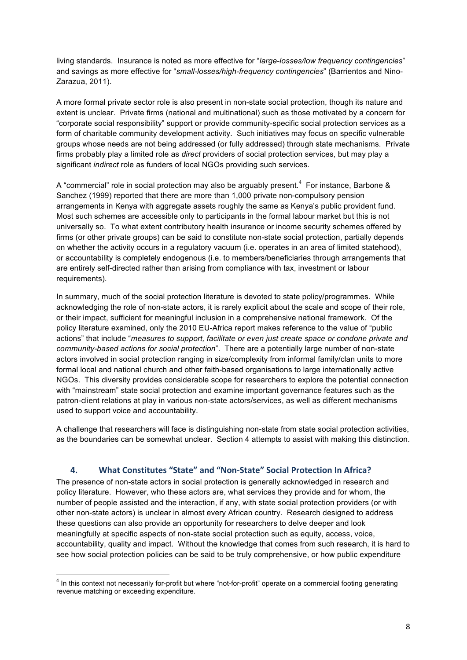living standards. Insurance is noted as more effective for "*large-losses/low frequency contingencies*" and savings as more effective for "*small-losses/high-frequency contingencies*" (Barrientos and Nino-Zarazua, 2011).

A more formal private sector role is also present in non-state social protection, though its nature and extent is unclear. Private firms (national and multinational) such as those motivated by a concern for "corporate social responsibility" support or provide community-specific social protection services as a form of charitable community development activity. Such initiatives may focus on specific vulnerable groups whose needs are not being addressed (or fully addressed) through state mechanisms. Private firms probably play a limited role as *direct* providers of social protection services, but may play a significant *indirect* role as funders of local NGOs providing such services.

A "commercial" role in social protection may also be arguably present.<sup>4</sup> For instance, Barbone & Sanchez (1999) reported that there are more than 1,000 private non-compulsory pension arrangements in Kenya with aggregate assets roughly the same as Kenya's public provident fund. Most such schemes are accessible only to participants in the formal labour market but this is not universally so. To what extent contributory health insurance or income security schemes offered by firms (or other private groups) can be said to constitute non-state social protection, partially depends on whether the activity occurs in a regulatory vacuum (i.e. operates in an area of limited statehood), or accountability is completely endogenous (i.e. to members/beneficiaries through arrangements that are entirely self-directed rather than arising from compliance with tax, investment or labour requirements).

In summary, much of the social protection literature is devoted to state policy/programmes. While acknowledging the role of non-state actors, it is rarely explicit about the scale and scope of their role, or their impact, sufficient for meaningful inclusion in a comprehensive national framework. Of the policy literature examined, only the 2010 EU-Africa report makes reference to the value of "public actions" that include "*measures to support, facilitate or even just create space or condone private and community-based actions for social protection*". There are a potentially large number of non-state actors involved in social protection ranging in size/complexity from informal family/clan units to more formal local and national church and other faith-based organisations to large internationally active NGOs. This diversity provides considerable scope for researchers to explore the potential connection with "mainstream" state social protection and examine important governance features such as the patron-client relations at play in various non-state actors/services, as well as different mechanisms used to support voice and accountability.

A challenge that researchers will face is distinguishing non-state from state social protection activities, as the boundaries can be somewhat unclear. Section 4 attempts to assist with making this distinction.

### 4. **What Constitutes "State" and "Non-State" Social Protection In Africa?**

The presence of non-state actors in social protection is generally acknowledged in research and policy literature. However, who these actors are, what services they provide and for whom, the number of people assisted and the interaction, if any, with state social protection providers (or with other non-state actors) is unclear in almost every African country. Research designed to address these questions can also provide an opportunity for researchers to delve deeper and look meaningfully at specific aspects of non-state social protection such as equity, access, voice, accountability, quality and impact. Without the knowledge that comes from such research, it is hard to see how social protection policies can be said to be truly comprehensive, or how public expenditure

<sup>&</sup>lt;sup>4</sup> In this context not necessarily for-profit but where "not-for-profit" operate on a commercial footing generating revenue matching or exceeding expenditure.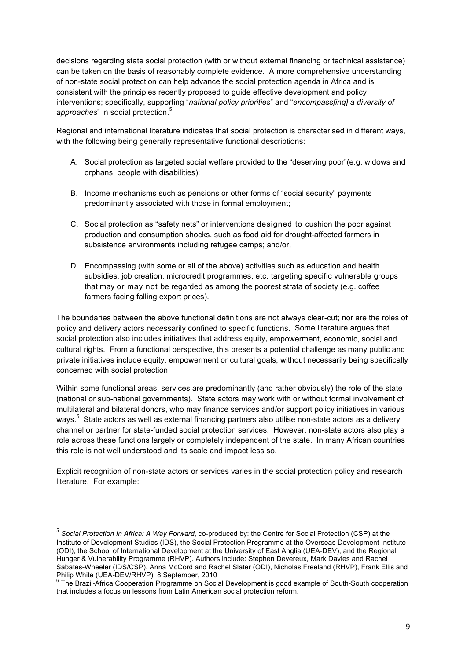decisions regarding state social protection (with or without external financing or technical assistance) can be taken on the basis of reasonably complete evidence. A more comprehensive understanding of non-state social protection can help advance the social protection agenda in Africa and is consistent with the principles recently proposed to guide effective development and policy interventions; specifically, supporting "*national policy priorities*" and "*encompass[ing] a diversity of approaches*" in social protection. 5

Regional and international literature indicates that social protection is characterised in different ways, with the following being generally representative functional descriptions:

- A. Social protection as targeted social welfare provided to the "deserving poor"(e.g. widows and orphans, people with disabilities);
- B. Income mechanisms such as pensions or other forms of "social security" payments predominantly associated with those in formal employment;
- C. Social protection as "safety nets" or interventions designed to cushion the poor against production and consumption shocks, such as food aid for drought-affected farmers in subsistence environments including refugee camps; and/or,
- D. Encompassing (with some or all of the above) activities such as education and health subsidies, job creation, microcredit programmes, etc. targeting specific vulnerable groups that may or may not be regarded as among the poorest strata of society (e.g. coffee farmers facing falling export prices).

The boundaries between the above functional definitions are not always clear-cut; nor are the roles of policy and delivery actors necessarily confined to specific functions. Some literature argues that social protection also includes initiatives that address equity, empowerment, economic, social and cultural rights. From a functional perspective, this presents a potential challenge as many public and private initiatives include equity, empowerment or cultural goals, without necessarily being specifically concerned with social protection.

Within some functional areas, services are predominantly (and rather obviously) the role of the state (national or sub-national governments). State actors may work with or without formal involvement of multilateral and bilateral donors, who may finance services and/or support policy initiatives in various ways. $^6$  State actors as well as external financing partners also utilise non-state actors as a delivery channel or partner for state-funded social protection services. However, non-state actors also play a role across these functions largely or completely independent of the state. In many African countries this role is not well understood and its scale and impact less so.

Explicit recognition of non-state actors or services varies in the social protection policy and research literature. For example:

<u> 1989 - Johann Stein, fransk politiker (d. 1989)</u>

<sup>5</sup> *Social Protection In Africa: A Way Forward*, co-produced by: the Centre for Social Protection (CSP) at the Institute of Development Studies (IDS), the Social Protection Programme at the Overseas Development Institute (ODI), the School of International Development at the University of East Anglia (UEA-DEV), and the Regional Hunger & Vulnerability Programme (RHVP). Authors include: Stephen Devereux, Mark Davies and Rachel Sabates-Wheeler (IDS/CSP), Anna McCord and Rachel Slater (ODI), Nicholas Freeland (RHVP), Frank Ellis and<br>Philip White (UEA-DEV/RHVP), 8 September, 2010

Philip White (UEA-DEV/RHV), 8 September on Social Development is good example of South-South cooperation Programme on Social Development is good example of South-South cooperation that includes a focus on lessons from Latin American social protection reform.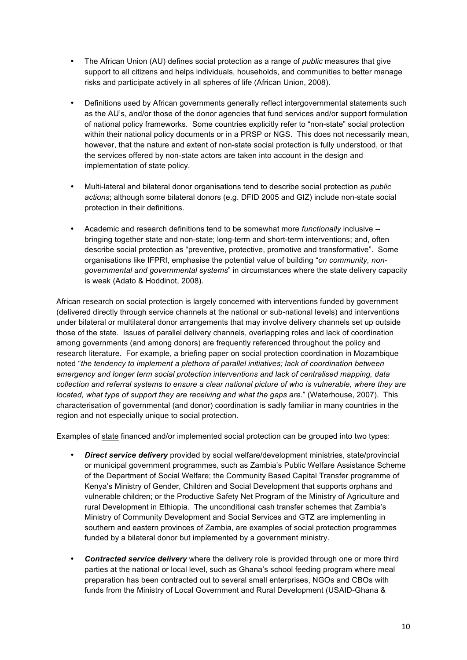- The African Union (AU) defines social protection as a range of *public* measures that give support to all citizens and helps individuals, households, and communities to better manage risks and participate actively in all spheres of life (African Union, 2008).
- Definitions used by African governments generally reflect intergovernmental statements such as the AU's, and/or those of the donor agencies that fund services and/or support formulation of national policy frameworks. Some countries explicitly refer to "non-state" social protection within their national policy documents or in a PRSP or NGS. This does not necessarily mean, however, that the nature and extent of non-state social protection is fully understood, or that the services offered by non-state actors are taken into account in the design and implementation of state policy.
- Multi-lateral and bilateral donor organisations tend to describe social protection as *public actions*; although some bilateral donors (e.g. DFID 2005 and GIZ) include non-state social protection in their definitions.
- Academic and research definitions tend to be somewhat more *functionally* inclusive bringing together state and non-state; long-term and short-term interventions; and, often describe social protection as "preventive, protective, promotive and transformative". Some organisations like IFPRI, emphasise the potential value of building "*on community, nongovernmental and governmental systems*" in circumstances where the state delivery capacity is weak (Adato & Hoddinot, 2008).

African research on social protection is largely concerned with interventions funded by government (delivered directly through service channels at the national or sub-national levels) and interventions under bilateral or multilateral donor arrangements that may involve delivery channels set up outside those of the state. Issues of parallel delivery channels, overlapping roles and lack of coordination among governments (and among donors) are frequently referenced throughout the policy and research literature. For example, a briefing paper on social protection coordination in Mozambique noted "*the tendency to implement a plethora of parallel initiatives; lack of coordination between emergency and longer term social protection interventions and lack of centralised mapping, data collection and referral systems to ensure a clear national picture of who is vulnerable, where they are located, what type of support they are receiving and what the gaps are.*" (Waterhouse, 2007). This characterisation of governmental (and donor) coordination is sadly familiar in many countries in the region and not especially unique to social protection.

Examples of state financed and/or implemented social protection can be grouped into two types:

- *Direct service delivery* provided by social welfare/development ministries, state/provincial or municipal government programmes, such as Zambia's Public Welfare Assistance Scheme of the Department of Social Welfare; the Community Based Capital Transfer programme of Kenya's Ministry of Gender, Children and Social Development that supports orphans and vulnerable children; or the Productive Safety Net Program of the Ministry of Agriculture and rural Development in Ethiopia. The unconditional cash transfer schemes that Zambia's Ministry of Community Development and Social Services and GTZ are implementing in southern and eastern provinces of Zambia, are examples of social protection programmes funded by a bilateral donor but implemented by a government ministry.
- *Contracted service delivery* where the delivery role is provided through one or more third parties at the national or local level, such as Ghana's school feeding program where meal preparation has been contracted out to several small enterprises, NGOs and CBOs with funds from the Ministry of Local Government and Rural Development (USAID-Ghana &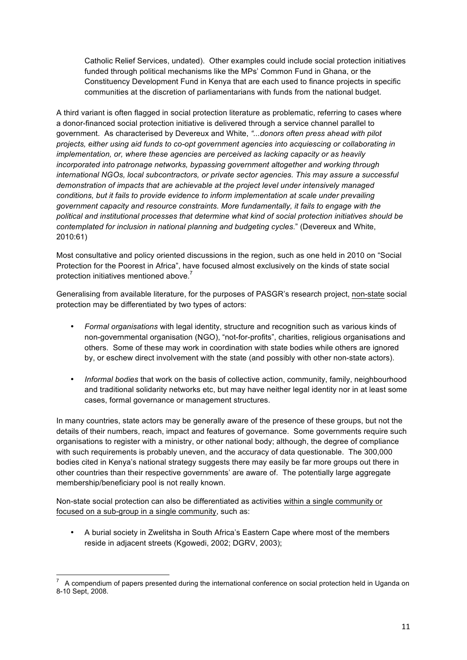Catholic Relief Services, undated). Other examples could include social protection initiatives funded through political mechanisms like the MPs' Common Fund in Ghana, or the Constituency Development Fund in Kenya that are each used to finance projects in specific communities at the discretion of parliamentarians with funds from the national budget.

A third variant is often flagged in social protection literature as problematic, referring to cases where a donor-financed social protection initiative is delivered through a service channel parallel to government. As characterised by Devereux and White, *"...donors often press ahead with pilot projects, either using aid funds to co-opt government agencies into acquiescing or collaborating in implementation, or, where these agencies are perceived as lacking capacity or as heavily incorporated into patronage networks, bypassing government altogether and working through international NGOs, local subcontractors, or private sector agencies. This may assure a successful demonstration of impacts that are achievable at the project level under intensively managed conditions, but it fails to provide evidence to inform implementation at scale under prevailing government capacity and resource constraints. More fundamentally, it fails to engage with the political and institutional processes that determine what kind of social protection initiatives should be contemplated for inclusion in national planning and budgeting cycles*." (Devereux and White, 2010:61)

Most consultative and policy oriented discussions in the region, such as one held in 2010 on "Social Protection for the Poorest in Africa", have focused almost exclusively on the kinds of state social protection initiatives mentioned above.<sup>7</sup>

Generalising from available literature, for the purposes of PASGR's research project, non-state social protection may be differentiated by two types of actors:

- *Formal organisations* with legal identity, structure and recognition such as various kinds of non-governmental organisation (NGO), "not-for-profits", charities, religious organisations and others. Some of these may work in coordination with state bodies while others are ignored by, or eschew direct involvement with the state (and possibly with other non-state actors).
- *Informal bodies* that work on the basis of collective action, community, family, neighbourhood and traditional solidarity networks etc, but may have neither legal identity nor in at least some cases, formal governance or management structures.

In many countries, state actors may be generally aware of the presence of these groups, but not the details of their numbers, reach, impact and features of governance. Some governments require such organisations to register with a ministry, or other national body; although, the degree of compliance with such requirements is probably uneven, and the accuracy of data questionable. The 300,000 bodies cited in Kenya's national strategy suggests there may easily be far more groups out there in other countries than their respective governments' are aware of. The potentially large aggregate membership/beneficiary pool is not really known.

Non-state social protection can also be differentiated as activities within a single community or focused on a sub-group in a single community, such as:

• A burial society in Zwelitsha in South Africa's Eastern Cape where most of the members reside in adjacent streets (Kgowedi, 2002; DGRV, 2003);

 <sup>7</sup> A compendium of papers presented during the international conference on social protection held in Uganda on 8-10 Sept, 2008.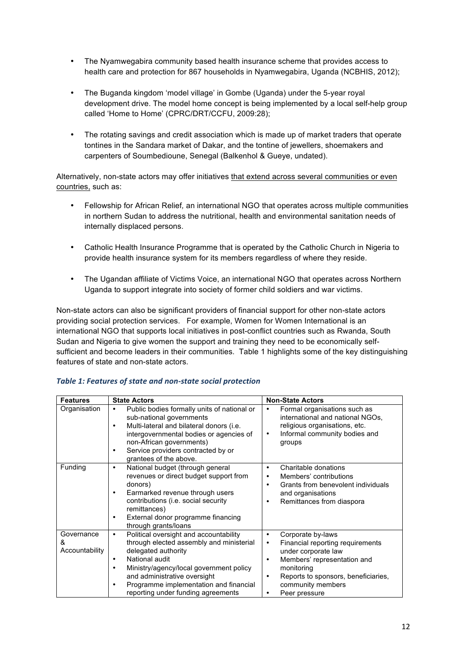- The Nyamwegabira community based health insurance scheme that provides access to health care and protection for 867 households in Nyamwegabira, Uganda (NCBHIS, 2012);
- The Buganda kingdom 'model village' in Gombe (Uganda) under the 5-year royal development drive. The model home concept is being implemented by a local self-help group called 'Home to Home' (CPRC/DRT/CCFU, 2009:28);
- The rotating savings and credit association which is made up of market traders that operate tontines in the Sandara market of Dakar, and the tontine of jewellers, shoemakers and carpenters of Soumbedioune, Senegal (Balkenhol & Gueye, undated).

Alternatively, non-state actors may offer initiatives that extend across several communities or even countries, such as:

- Fellowship for African Relief*,* an international NGO that operates across multiple communities in northern Sudan to address the nutritional, health and environmental sanitation needs of internally displaced persons.
- Catholic Health Insurance Programme that is operated by the Catholic Church in Nigeria to provide health insurance system for its members regardless of where they reside.
- The Ugandan affiliate of Victims Voice, an international NGO that operates across Northern Uganda to support integrate into society of former child soldiers and war victims.

Non-state actors can also be significant providers of financial support for other non-state actors providing social protection services. For example, Women for Women International is an international NGO that supports local initiatives in post-conflict countries such as Rwanda, South Sudan and Nigeria to give women the support and training they need to be economically selfsufficient and become leaders in their communities. Table 1 highlights some of the key distinguishing features of state and non-state actors.

| <b>Features</b>                   | <b>State Actors</b>                                                                                                                                                                                                                                                                              | <b>Non-State Actors</b>                                                                                                                                                                                                                                 |
|-----------------------------------|--------------------------------------------------------------------------------------------------------------------------------------------------------------------------------------------------------------------------------------------------------------------------------------------------|---------------------------------------------------------------------------------------------------------------------------------------------------------------------------------------------------------------------------------------------------------|
| Organisation                      | Public bodies formally units of national or<br>٠<br>sub-national governments<br>Multi-lateral and bilateral donors (i.e.<br>intergovernmental bodies or agencies of<br>non-African governments)<br>Service providers contracted by or<br>grantees of the above.                                  | Formal organisations such as<br>international and national NGOs,<br>religious organisations, etc.<br>Informal community bodies and<br>$\bullet$<br>groups                                                                                               |
| Funding                           | National budget (through general<br>٠<br>revenues or direct budget support from<br>donors)<br>Earmarked revenue through users<br>٠<br>contributions (i.e. social security<br>remittances)<br>External donor programme financing<br>through grants/loans                                          | Charitable donations<br>$\bullet$<br>Members' contributions<br>$\bullet$<br>Grants from benevolent individuals<br>$\bullet$<br>and organisations<br>Remittances from diaspora<br>٠                                                                      |
| Governance<br>ጼ<br>Accountability | Political oversight and accountability<br>٠<br>through elected assembly and ministerial<br>delegated authority<br>National audit<br>٠<br>Ministry/agency/local government policy<br>and administrative oversight<br>Programme implementation and financial<br>reporting under funding agreements | Corporate by-laws<br>$\bullet$<br>Financial reporting requirements<br>$\bullet$<br>under corporate law<br>Members' representation and<br>٠<br>monitoring<br>Reports to sponsors, beneficiaries,<br>$\bullet$<br>community members<br>Peer pressure<br>٠ |

#### *Table 1: Features of state and non-state social protection*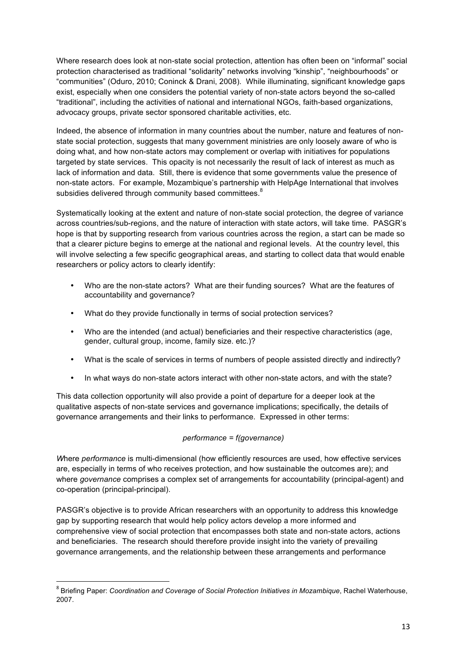Where research does look at non-state social protection, attention has often been on "informal" social protection characterised as traditional "solidarity" networks involving "kinship", "neighbourhoods" or "communities" (Oduro, 2010; Coninck & Drani, 2008). While illuminating, significant knowledge gaps exist, especially when one considers the potential variety of non-state actors beyond the so-called "traditional", including the activities of national and international NGOs, faith-based organizations, advocacy groups, private sector sponsored charitable activities, etc.

Indeed, the absence of information in many countries about the number, nature and features of nonstate social protection, suggests that many government ministries are only loosely aware of who is doing what, and how non-state actors may complement or overlap with initiatives for populations targeted by state services. This opacity is not necessarily the result of lack of interest as much as lack of information and data. Still, there is evidence that some governments value the presence of non-state actors. For example, Mozambique's partnership with HelpAge International that involves subsidies delivered through community based committees. $8$ 

Systematically looking at the extent and nature of non-state social protection, the degree of variance across countries/sub-regions, and the nature of interaction with state actors, will take time. PASGR's hope is that by supporting research from various countries across the region, a start can be made so that a clearer picture begins to emerge at the national and regional levels. At the country level, this will involve selecting a few specific geographical areas, and starting to collect data that would enable researchers or policy actors to clearly identify:

- Who are the non-state actors? What are their funding sources? What are the features of accountability and governance?
- What do they provide functionally in terms of social protection services?
- Who are the intended (and actual) beneficiaries and their respective characteristics (age, gender, cultural group, income, family size. etc.)?
- What is the scale of services in terms of numbers of people assisted directly and indirectly?
- In what ways do non-state actors interact with other non-state actors, and with the state?

This data collection opportunity will also provide a point of departure for a deeper look at the qualitative aspects of non-state services and governance implications; specifically, the details of governance arrangements and their links to performance. Expressed in other terms:

#### *performance = f(governance)*

*W*here *performance* is multi-dimensional (how efficiently resources are used, how effective services are, especially in terms of who receives protection, and how sustainable the outcomes are); and where *governance* comprises a complex set of arrangements for accountability (principal-agent) and co-operation (principal-principal).

PASGR's objective is to provide African researchers with an opportunity to address this knowledge gap by supporting research that would help policy actors develop a more informed and comprehensive view of social protection that encompasses both state and non-state actors, actions and beneficiaries. The research should therefore provide insight into the variety of prevailing governance arrangements, and the relationship between these arrangements and performance

<u> 1989 - Johann Stein, fransk politiker (d. 1989)</u>

<sup>8</sup> Briefing Paper: *Coordination and Coverage of Social Protection Initiatives in Mozambique*, Rachel Waterhouse, 2007.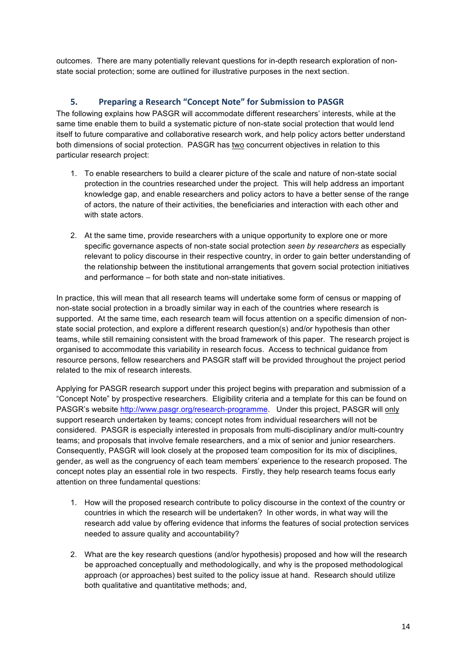outcomes. There are many potentially relevant questions for in-depth research exploration of nonstate social protection; some are outlined for illustrative purposes in the next section.

# **5.** Preparing a Research "Concept Note" for Submission to PASGR

The following explains how PASGR will accommodate different researchers' interests, while at the same time enable them to build a systematic picture of non-state social protection that would lend itself to future comparative and collaborative research work, and help policy actors better understand both dimensions of social protection. PASGR has two concurrent objectives in relation to this particular research project:

- 1. To enable researchers to build a clearer picture of the scale and nature of non-state social protection in the countries researched under the project. This will help address an important knowledge gap, and enable researchers and policy actors to have a better sense of the range of actors, the nature of their activities, the beneficiaries and interaction with each other and with state actors.
- 2. At the same time, provide researchers with a unique opportunity to explore one or more specific governance aspects of non-state social protection *seen by researchers* as especially relevant to policy discourse in their respective country, in order to gain better understanding of the relationship between the institutional arrangements that govern social protection initiatives and performance – for both state and non-state initiatives.

In practice, this will mean that all research teams will undertake some form of census or mapping of non-state social protection in a broadly similar way in each of the countries where research is supported. At the same time, each research team will focus attention on a specific dimension of nonstate social protection, and explore a different research question(s) and/or hypothesis than other teams, while still remaining consistent with the broad framework of this paper. The research project is organised to accommodate this variability in research focus. Access to technical guidance from resource persons, fellow researchers and PASGR staff will be provided throughout the project period related to the mix of research interests.

Applying for PASGR research support under this project begins with preparation and submission of a "Concept Note" by prospective researchers. Eligibility criteria and a template for this can be found on PASGR's website http://www.pasgr.org/research-programme. Under this project, PASGR will only support research undertaken by teams; concept notes from individual researchers will not be considered. PASGR is especially interested in proposals from multi-disciplinary and/or multi-country teams; and proposals that involve female researchers, and a mix of senior and junior researchers. Consequently, PASGR will look closely at the proposed team composition for its mix of disciplines, gender, as well as the congruency of each team members' experience to the research proposed. The concept notes play an essential role in two respects. Firstly, they help research teams focus early attention on three fundamental questions:

- 1. How will the proposed research contribute to policy discourse in the context of the country or countries in which the research will be undertaken? In other words, in what way will the research add value by offering evidence that informs the features of social protection services needed to assure quality and accountability?
- 2. What are the key research questions (and/or hypothesis) proposed and how will the research be approached conceptually and methodologically, and why is the proposed methodological approach (or approaches) best suited to the policy issue at hand. Research should utilize both qualitative and quantitative methods; and,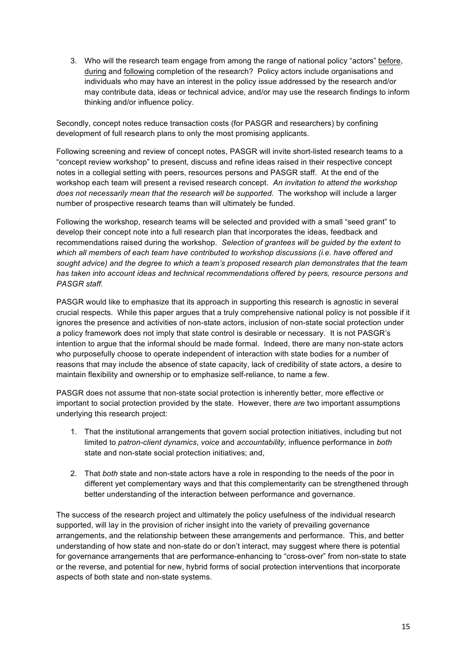3. Who will the research team engage from among the range of national policy "actors" before, during and following completion of the research? Policy actors include organisations and individuals who may have an interest in the policy issue addressed by the research and/or may contribute data, ideas or technical advice, and/or may use the research findings to inform thinking and/or influence policy.

Secondly, concept notes reduce transaction costs (for PASGR and researchers) by confining development of full research plans to only the most promising applicants.

Following screening and review of concept notes, PASGR will invite short-listed research teams to a "concept review workshop" to present, discuss and refine ideas raised in their respective concept notes in a collegial setting with peers, resources persons and PASGR staff. At the end of the workshop each team will present a revised research concept. *An invitation to attend the workshop does not necessarily mean that the research will be supported.* The workshop will include a larger number of prospective research teams than will ultimately be funded.

Following the workshop, research teams will be selected and provided with a small "seed grant" to develop their concept note into a full research plan that incorporates the ideas, feedback and recommendations raised during the workshop. *Selection of grantees will be guided by the extent to which all members of each team have contributed to workshop discussions (i.e. have offered and sought advice) and the degree to which a team's proposed research plan demonstrates that the team has taken into account ideas and technical recommendations offered by peers, resource persons and PASGR staff.*

PASGR would like to emphasize that its approach in supporting this research is agnostic in several crucial respects. While this paper argues that a truly comprehensive national policy is not possible if it ignores the presence and activities of non-state actors, inclusion of non-state social protection under a policy framework does not imply that state control is desirable or necessary. It is not PASGR's intention to argue that the informal should be made formal. Indeed, there are many non-state actors who purposefully choose to operate independent of interaction with state bodies for a number of reasons that may include the absence of state capacity, lack of credibility of state actors, a desire to maintain flexibility and ownership or to emphasize self-reliance, to name a few.

PASGR does not assume that non-state social protection is inherently better, more effective or important to social protection provided by the state. However, there *are* two important assumptions underlying this research project:

- 1. That the institutional arrangements that govern social protection initiatives, including but not limited to *patron-client dynamics*, *voice* and *accountability,* influence performance in *both* state and non-state social protection initiatives; and,
- 2. That *both* state and non-state actors have a role in responding to the needs of the poor in different yet complementary ways and that this complementarity can be strengthened through better understanding of the interaction between performance and governance.

The success of the research project and ultimately the policy usefulness of the individual research supported, will lay in the provision of richer insight into the variety of prevailing governance arrangements, and the relationship between these arrangements and performance. This, and better understanding of how state and non-state do or don't interact, may suggest where there is potential for governance arrangements that are performance-enhancing to "cross-over" from non-state to state or the reverse, and potential for new, hybrid forms of social protection interventions that incorporate aspects of both state and non-state systems.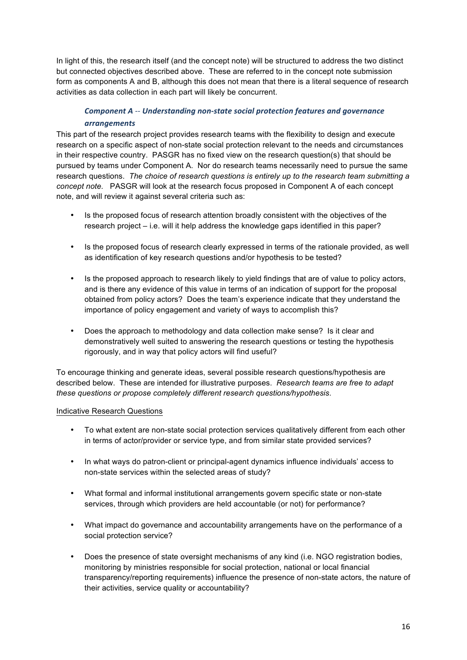In light of this, the research itself (and the concept note) will be structured to address the two distinct but connected objectives described above. These are referred to in the concept note submission form as components A and B, although this does not mean that there is a literal sequence of research activities as data collection in each part will likely be concurrent.

# **Component** A -- Understanding non-state social protection features and governance *arrangements*

This part of the research project provides research teams with the flexibility to design and execute research on a specific aspect of non-state social protection relevant to the needs and circumstances in their respective country. PASGR has no fixed view on the research question(s) that should be pursued by teams under Component A. Nor do research teams necessarily need to pursue the same research questions. *The choice of research questions is entirely up to the research team submitting a concept note.* PASGR will look at the research focus proposed in Component A of each concept note, and will review it against several criteria such as:

- Is the proposed focus of research attention broadly consistent with the objectives of the research project – i.e. will it help address the knowledge gaps identified in this paper?
- Is the proposed focus of research clearly expressed in terms of the rationale provided, as well as identification of key research questions and/or hypothesis to be tested?
- Is the proposed approach to research likely to yield findings that are of value to policy actors, and is there any evidence of this value in terms of an indication of support for the proposal obtained from policy actors? Does the team's experience indicate that they understand the importance of policy engagement and variety of ways to accomplish this?
- Does the approach to methodology and data collection make sense? Is it clear and demonstratively well suited to answering the research questions or testing the hypothesis rigorously, and in way that policy actors will find useful?

To encourage thinking and generate ideas, several possible research questions/hypothesis are described below. These are intended for illustrative purposes. *Research teams are free to adapt these questions or propose completely different research questions/hypothesis*.

#### Indicative Research Questions

- To what extent are non-state social protection services qualitatively different from each other in terms of actor/provider or service type, and from similar state provided services?
- In what ways do patron-client or principal-agent dynamics influence individuals' access to non-state services within the selected areas of study?
- What formal and informal institutional arrangements govern specific state or non-state services, through which providers are held accountable (or not) for performance?
- What impact do governance and accountability arrangements have on the performance of a social protection service?
- Does the presence of state oversight mechanisms of any kind (i.e. NGO registration bodies, monitoring by ministries responsible for social protection, national or local financial transparency/reporting requirements) influence the presence of non-state actors, the nature of their activities, service quality or accountability?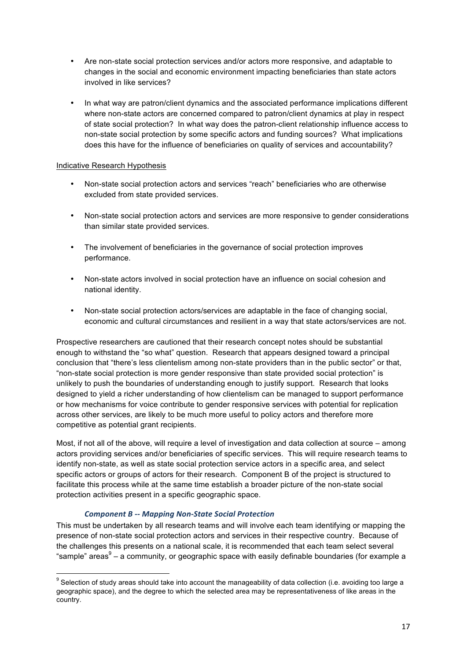- Are non-state social protection services and/or actors more responsive, and adaptable to changes in the social and economic environment impacting beneficiaries than state actors involved in like services?
- In what way are patron/client dynamics and the associated performance implications different where non-state actors are concerned compared to patron/client dynamics at play in respect of state social protection? In what way does the patron-client relationship influence access to non-state social protection by some specific actors and funding sources? What implications does this have for the influence of beneficiaries on quality of services and accountability?

#### Indicative Research Hypothesis

- Non-state social protection actors and services "reach" beneficiaries who are otherwise excluded from state provided services.
- Non-state social protection actors and services are more responsive to gender considerations than similar state provided services.
- The involvement of beneficiaries in the governance of social protection improves performance.
- Non-state actors involved in social protection have an influence on social cohesion and national identity.
- Non-state social protection actors/services are adaptable in the face of changing social, economic and cultural circumstances and resilient in a way that state actors/services are not.

Prospective researchers are cautioned that their research concept notes should be substantial enough to withstand the "so what" question. Research that appears designed toward a principal conclusion that "there's less clientelism among non-state providers than in the public sector" or that, "non-state social protection is more gender responsive than state provided social protection" is unlikely to push the boundaries of understanding enough to justify support. Research that looks designed to yield a richer understanding of how clientelism can be managed to support performance or how mechanisms for voice contribute to gender responsive services with potential for replication across other services, are likely to be much more useful to policy actors and therefore more competitive as potential grant recipients.

Most, if not all of the above, will require a level of investigation and data collection at source – among actors providing services and/or beneficiaries of specific services. This will require research teams to identify non-state, as well as state social protection service actors in a specific area, and select specific actors or groups of actors for their research. Component B of the project is structured to facilitate this process while at the same time establish a broader picture of the non-state social protection activities present in a specific geographic space.

#### *Component B -- Mapping Non-State Social Protection*

<u> 1989 - Johann Stein, fransk politiker (d. 1989)</u>

This must be undertaken by all research teams and will involve each team identifying or mapping the presence of non-state social protection actors and services in their respective country. Because of the challenges this presents on a national scale, it is recommended that each team select several "sample" areas $9 - a$  community, or geographic space with easily definable boundaries (for example a

 $9$  Selection of study areas should take into account the manageability of data collection (i.e. avoiding too large a geographic space), and the degree to which the selected area may be representativeness of like areas in the country.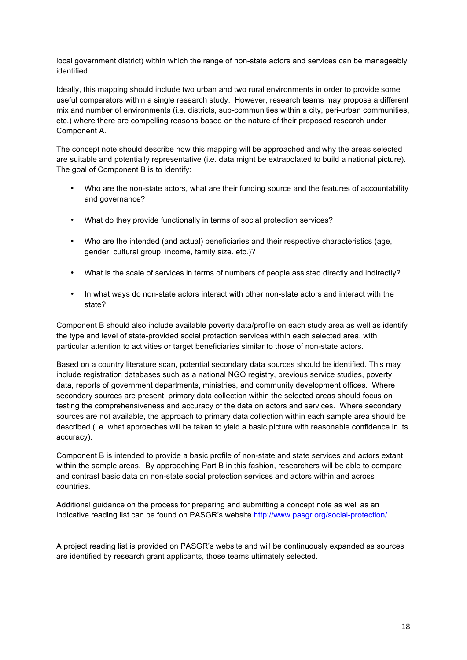local government district) within which the range of non-state actors and services can be manageably identified.

Ideally, this mapping should include two urban and two rural environments in order to provide some useful comparators within a single research study. However, research teams may propose a different mix and number of environments (i.e. districts, sub-communities within a city, peri-urban communities, etc.) where there are compelling reasons based on the nature of their proposed research under Component A.

The concept note should describe how this mapping will be approached and why the areas selected are suitable and potentially representative (i.e. data might be extrapolated to build a national picture). The goal of Component B is to identify:

- Who are the non-state actors, what are their funding source and the features of accountability and governance?
- What do they provide functionally in terms of social protection services?
- Who are the intended (and actual) beneficiaries and their respective characteristics (age, gender, cultural group, income, family size. etc.)?
- What is the scale of services in terms of numbers of people assisted directly and indirectly?
- In what ways do non-state actors interact with other non-state actors and interact with the state?

Component B should also include available poverty data/profile on each study area as well as identify the type and level of state-provided social protection services within each selected area, with particular attention to activities or target beneficiaries similar to those of non-state actors.

Based on a country literature scan, potential secondary data sources should be identified. This may include registration databases such as a national NGO registry, previous service studies, poverty data, reports of government departments, ministries, and community development offices. Where secondary sources are present, primary data collection within the selected areas should focus on testing the comprehensiveness and accuracy of the data on actors and services. Where secondary sources are not available, the approach to primary data collection within each sample area should be described (i.e. what approaches will be taken to yield a basic picture with reasonable confidence in its accuracy).

Component B is intended to provide a basic profile of non-state and state services and actors extant within the sample areas. By approaching Part B in this fashion, researchers will be able to compare and contrast basic data on non-state social protection services and actors within and across countries.

Additional guidance on the process for preparing and submitting a concept note as well as an indicative reading list can be found on PASGR's website http://www.pasgr.org/social-protection/.

A project reading list is provided on PASGR's website and will be continuously expanded as sources are identified by research grant applicants, those teams ultimately selected.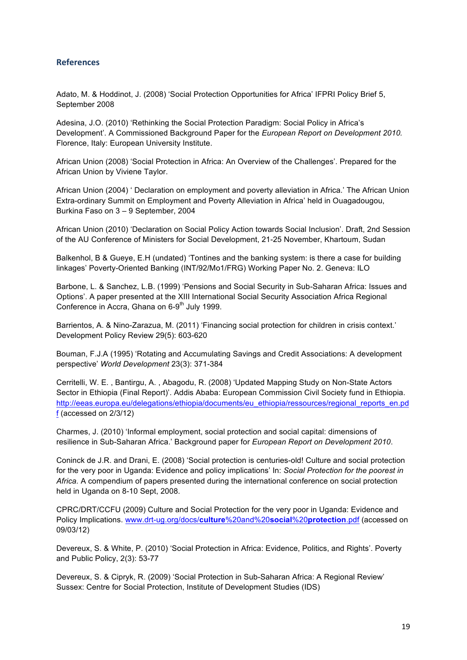# **References**

Adato, M. & Hoddinot, J. (2008) 'Social Protection Opportunities for Africa' IFPRI Policy Brief 5, September 2008

Adesina, J.O. (2010) 'Rethinking the Social Protection Paradigm: Social Policy in Africa's Development'. A Commissioned Background Paper for the *European Report on Development 2010.*  Florence, Italy: European University Institute.

African Union (2008) 'Social Protection in Africa: An Overview of the Challenges'. Prepared for the African Union by Viviene Taylor.

African Union (2004) ' Declaration on employment and poverty alleviation in Africa.' The African Union Extra-ordinary Summit on Employment and Poverty Alleviation in Africa' held in Ouagadougou, Burkina Faso on 3 – 9 September, 2004

African Union (2010) 'Declaration on Social Policy Action towards Social Inclusion'. Draft, 2nd Session of the AU Conference of Ministers for Social Development, 21-25 November, Khartoum, Sudan

Balkenhol, B & Gueye, E.H (undated) 'Tontines and the banking system: is there a case for building linkages' Poverty-Oriented Banking (INT/92/Mo1/FRG) Working Paper No. 2. Geneva: ILO

Barbone, L. & Sanchez, L.B. (1999) 'Pensions and Social Security in Sub-Saharan Africa: Issues and Options'. A paper presented at the XIII International Social Security Association Africa Regional Conference in Accra, Ghana on 6-9<sup>th</sup> July 1999.

Barrientos, A. & Nino-Zarazua, M. (2011) 'Financing social protection for children in crisis context.' Development Policy Review 29(5): 603-620

Bouman, F.J.A (1995) 'Rotating and Accumulating Savings and Credit Associations: A development perspective' *World Development* 23(3): 371-384

Cerritelli, W. E. , Bantirgu, A. , Abagodu, R. (2008) 'Updated Mapping Study on Non-State Actors Sector in Ethiopia (Final Report)'. Addis Ababa: European Commission Civil Society fund in Ethiopia. http://eeas.europa.eu/delegations/ethiopia/documents/eu\_ethiopia/ressources/regional\_reports\_en.pd f (accessed on 2/3/12)

Charmes, J. (2010) 'Informal employment, social protection and social capital: dimensions of resilience in Sub-Saharan Africa.' Background paper for *European Report on Development 2010*.

Coninck de J.R. and Drani, E. (2008) 'Social protection is centuries-old! Culture and social protection for the very poor in Uganda: Evidence and policy implications' In: *Social Protection for the poorest in Africa.* A compendium of papers presented during the international conference on social protection held in Uganda on 8-10 Sept, 2008.

CPRC/DRT/CCFU (2009) Culture and Social Protection for the very poor in Uganda: Evidence and Policy Implications. www.drt-ug.org/docs/**culture**%20and%20**social**%20**protection**.pdf (accessed on 09/03/12)

Devereux, S. & White, P. (2010) 'Social Protection in Africa: Evidence, Politics, and Rights'. Poverty and Public Policy, 2(3): 53-77

Devereux, S. & Cipryk, R. (2009) 'Social Protection in Sub-Saharan Africa: A Regional Review' Sussex: Centre for Social Protection, Institute of Development Studies (IDS)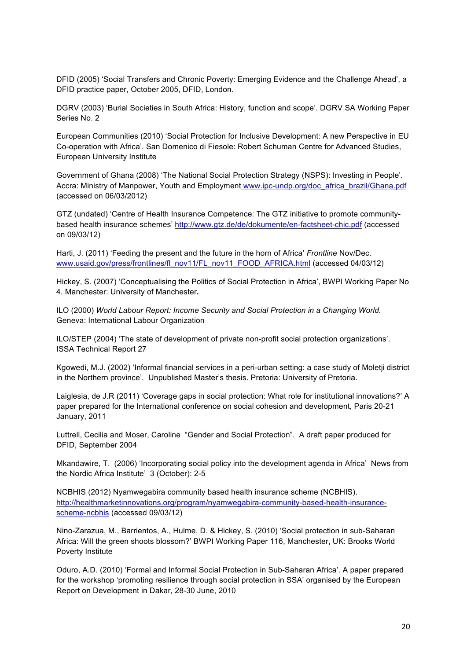DFID (2005) 'Social Transfers and Chronic Poverty: Emerging Evidence and the Challenge Ahead', a DFID practice paper, October 2005, DFID, London.

DGRV (2003) 'Burial Societies in South Africa: History, function and scope'. DGRV SA Working Paper Series No. 2

European Communities (2010) 'Social Protection for Inclusive Development: A new Perspective in EU Co-operation with Africa'. San Domenico di Fiesole: Robert Schuman Centre for Advanced Studies, European University Institute

Government of Ghana (2008) 'The National Social Protection Strategy (NSPS): Investing in People'. Accra: Ministry of Manpower, Youth and Employment www.ipc-undp.org/doc\_africa\_brazil/Ghana.pdf (accessed on 06/03/2012)

GTZ (undated) 'Centre of Health Insurance Competence: The GTZ initiative to promote communitybased health insurance schemes' http://www.gtz.de/de/dokumente/en-factsheet-chic.pdf (accessed on 09/03/12)

Harti, J. (2011) 'Feeding the present and the future in the horn of Africa' *Frontline* Nov/Dec. www.usaid.gov/press/frontlines/fl\_nov11/FL\_nov11\_FOOD\_AFRICA.html (accessed 04/03/12)

Hickey, S. (2007) 'Conceptualising the Politics of Social Protection in Africa', BWPI Working Paper No 4. Manchester: University of Manchester**.**

ILO (2000) *World Labour Report: Income Security and Social Protection in a Changing World.*  Geneva: International Labour Organization

ILO/STEP (2004) 'The state of development of private non-profit social protection organizations'. ISSA Technical Report 27

Kgowedi, M.J. (2002) 'Informal financial services in a peri-urban setting: a case study of Moletji district in the Northern province'. Unpublished Master's thesis. Pretoria: University of Pretoria.

Laiglesia, de J.R (2011) 'Coverage gaps in social protection: What role for institutional innovations?' A paper prepared for the International conference on social cohesion and development, Paris 20-21 January, 2011

Luttrell, Cecilia and Moser, Caroline "Gender and Social Protection". A draft paper produced for DFID, September 2004

Mkandawire, T. (2006) 'Incorporating social policy into the development agenda in Africa' News from the Nordic Africa Institute' 3 (October): 2-5

NCBHIS (2012) Nyamwegabira community based health insurance scheme (NCBHIS). http://healthmarketinnovations.org/program/nyamwegabira-community-based-health-insurancescheme-ncbhis (accessed 09/03/12)

Nino-Zarazua, M., Barrientos, A., Hulme, D. & Hickey, S. (2010) 'Social protection in sub-Saharan Africa: Will the green shoots blossom?' BWPI Working Paper 116, Manchester, UK: Brooks World Poverty Institute

Oduro, A.D. (2010) 'Formal and Informal Social Protection in Sub-Saharan Africa'*.* A paper prepared for the workshop 'promoting resilience through social protection in SSA' organised by the European Report on Development in Dakar, 28-30 June, 2010